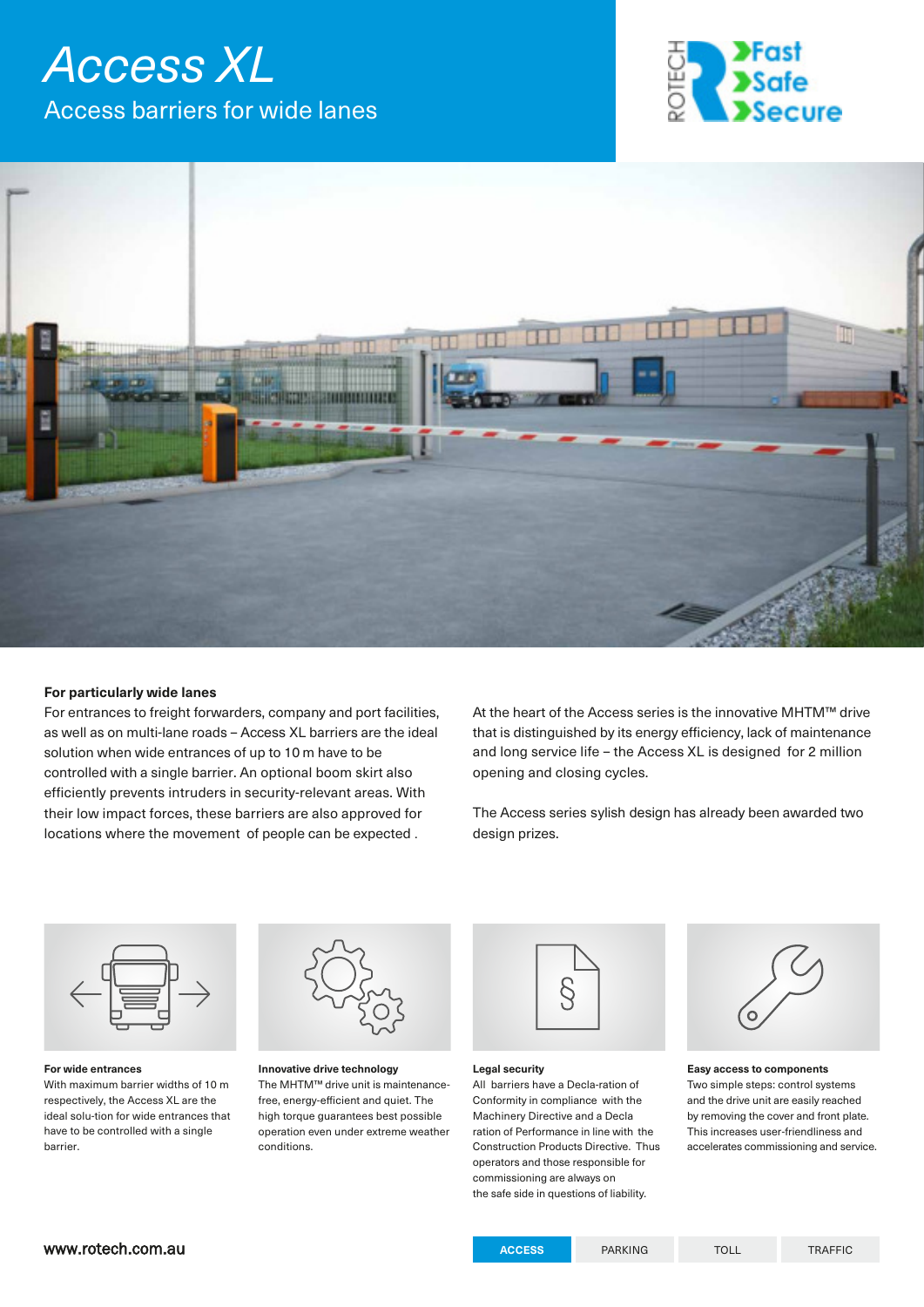# *Access XL*  Access barriers for wide lanes





### **For particularly wide lanes**

For entrances to freight forwarders, company and port facilities, as well as on multi-lane roads – Access XL barriers are the ideal solution when wide entrances of up to 10 m have to be controlled with a single barrier. An optional boom skirt also efficiently prevents intruders in security-relevant areas. With their low impact forces, these barriers are also approved for locations where the movement of people can be expected .

At the heart of the Access series is the innovative MHTM™ drive that is distinguished by its energy efficiency, lack of maintenance and long service life – the Access XL is designed for 2 million opening and closing cycles.

The Access series sylish design has already been awarded two design prizes.



**For wide entrances**  With maximum barrier widths of 10 m respectively, the Access XL are the ideal solu-tion for wide entrances that have to be controlled with a single barrier.



**Innovative drive technology** The MHTM™ drive unit is maintenancefree, energy-efficient and quiet. The high torque guarantees best possible operation even under extreme weather conditions.



#### **Legal security**

All barriers have a Decla-ration of Conformity in compliance with the Machinery Directive and a Decla ration of Performance in line with the Construction Products Directive. Thus operators and those responsible for commissioning are always on the safe side in questions of liability.

**Easy access to components**  Two simple steps: control systems and the drive unit are easily reached by removing the cover and front plate. This increases user-friendliness and accelerates commissioning and service.

### www.rotech.com.au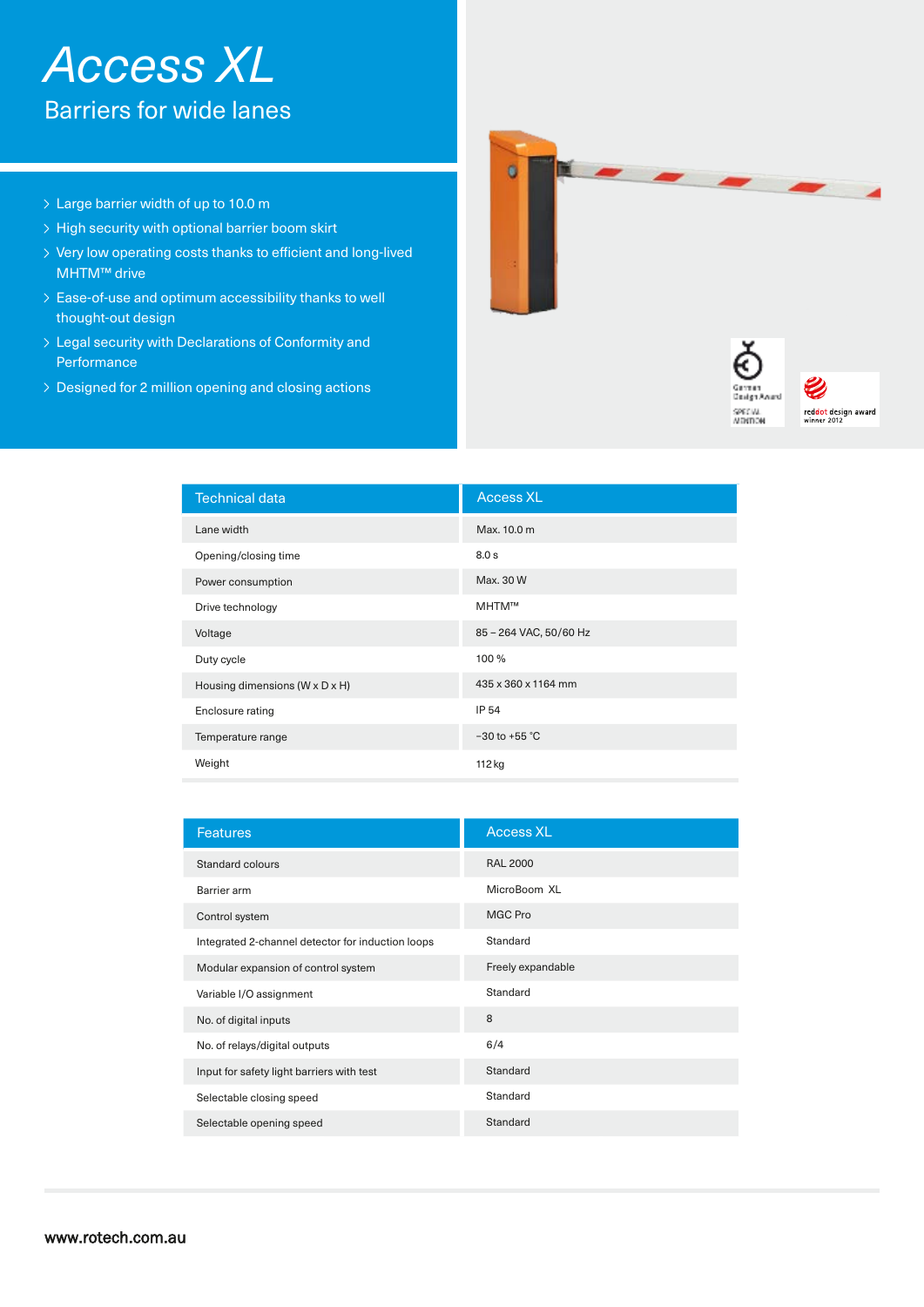# *Access XL*  Barriers for wide lanes

- > Large barrier width of up to 10.0 m
- $\rightarrow$  High security with optional barrier boom skirt
- Very low operating costs thanks to efficient and long-lived MHTM™ drive
- Ease-of-use and optimum accessibility thanks to well thought-out design
- Legal security with Declarations of Conformity and Performance
- > Designed for 2 million opening and closing actions





| <b>Technical data</b>          | <b>Access XL</b>       |
|--------------------------------|------------------------|
| Lane width                     | Max. 10.0 m            |
| Opening/closing time           | 8.0 s                  |
| Power consumption              | Max. 30 W              |
| Drive technology               | MHTM™                  |
| Voltage                        | 85 - 264 VAC, 50/60 Hz |
| Duty cycle                     | 100 %                  |
| Housing dimensions (W x D x H) | 435 x 360 x 1164 mm    |
| Enclosure rating               | IP 54                  |
| Temperature range              | $-30$ to +55 °C        |
| Weight                         | 112 kg                 |

| <b>Features</b>                                   | <b>Access XL</b>  |
|---------------------------------------------------|-------------------|
| Standard colours                                  | <b>RAL 2000</b>   |
| Barrier arm                                       | MicroBoom XL      |
| Control system                                    | MGC Pro           |
| Integrated 2-channel detector for induction loops | Standard          |
| Modular expansion of control system               | Freely expandable |
| Variable I/O assignment                           | Standard          |
| No. of digital inputs                             | 8                 |
| No. of relays/digital outputs                     | 6/4               |
| Input for safety light barriers with test         | Standard          |
| Selectable closing speed                          | Standard          |
| Selectable opening speed                          | Standard          |